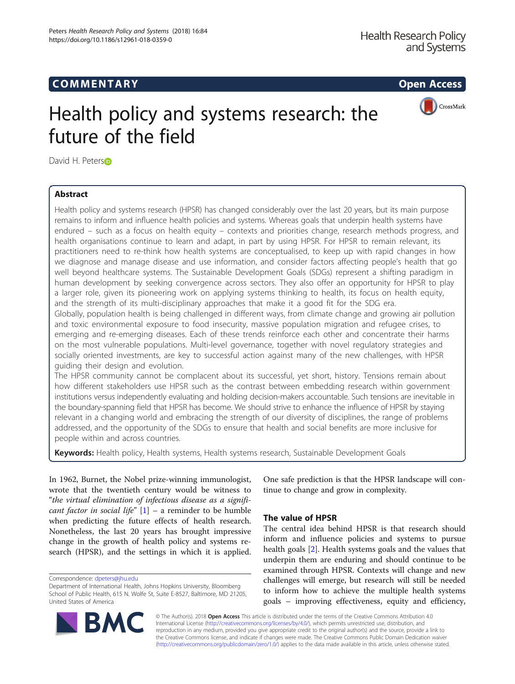

# Health policy and systems research: the future of the field

David H. Peter[s](http://orcid.org/0000-0001-8377-3444)io

# **Abstract**

Health policy and systems research (HPSR) has changed considerably over the last 20 years, but its main purpose remains to inform and influence health policies and systems. Whereas goals that underpin health systems have endured – such as a focus on health equity – contexts and priorities change, research methods progress, and health organisations continue to learn and adapt, in part by using HPSR. For HPSR to remain relevant, its practitioners need to re-think how health systems are conceptualised, to keep up with rapid changes in how we diagnose and manage disease and use information, and consider factors affecting people's health that go well beyond healthcare systems. The Sustainable Development Goals (SDGs) represent a shifting paradigm in human development by seeking convergence across sectors. They also offer an opportunity for HPSR to play a larger role, given its pioneering work on applying systems thinking to health, its focus on health equity, and the strength of its multi-disciplinary approaches that make it a good fit for the SDG era.

Globally, population health is being challenged in different ways, from climate change and growing air pollution and toxic environmental exposure to food insecurity, massive population migration and refugee crises, to emerging and re-emerging diseases. Each of these trends reinforce each other and concentrate their harms on the most vulnerable populations. Multi-level governance, together with novel regulatory strategies and socially oriented investments, are key to successful action against many of the new challenges, with HPSR guiding their design and evolution.

The HPSR community cannot be complacent about its successful, yet short, history. Tensions remain about how different stakeholders use HPSR such as the contrast between embedding research within government institutions versus independently evaluating and holding decision-makers accountable. Such tensions are inevitable in the boundary-spanning field that HPSR has become. We should strive to enhance the influence of HPSR by staying relevant in a changing world and embracing the strength of our diversity of disciplines, the range of problems addressed, and the opportunity of the SDGs to ensure that health and social benefits are more inclusive for people within and across countries.

Keywords: Health policy, Health systems, Health systems research, Sustainable Development Goals

In 1962, Burnet, the Nobel prize-winning immunologist, wrote that the twentieth century would be witness to "the virtual elimination of infectious disease as a signifi*cant factor in social life*"  $[1]$  $[1]$  – a reminder to be humble when predicting the future effects of health research. Nonetheless, the last 20 years has brought impressive change in the growth of health policy and systems research (HPSR), and the settings in which it is applied. One safe prediction is that the HPSR landscape will continue to change and grow in complexity.

## The value of HPSR

The central idea behind HPSR is that research should inform and influence policies and systems to pursue health goals [\[2](#page-2-0)]. Health systems goals and the values that underpin them are enduring and should continue to be examined through HPSR. Contexts will change and new challenges will emerge, but research will still be needed to inform how to achieve the multiple health systems goals – improving effectiveness, equity and efficiency,

© The Author(s). 2018 Open Access This article is distributed under the terms of the Creative Commons Attribution 4.0 International License [\(http://creativecommons.org/licenses/by/4.0/](http://creativecommons.org/licenses/by/4.0/)), which permits unrestricted use, distribution, and reproduction in any medium, provided you give appropriate credit to the original author(s) and the source, provide a link to the Creative Commons license, and indicate if changes were made. The Creative Commons Public Domain Dedication waiver [\(http://creativecommons.org/publicdomain/zero/1.0/](http://creativecommons.org/publicdomain/zero/1.0/)) applies to the data made available in this article, unless otherwise stated.



Correspondence: [dpeters@jhu.edu](mailto:dpeters@jhu.edu)

Department of International Health, Johns Hopkins University, Bloomberg School of Public Health, 615 N. Wolfe St, Suite E-8527, Baltimore, MD 21205, United States of America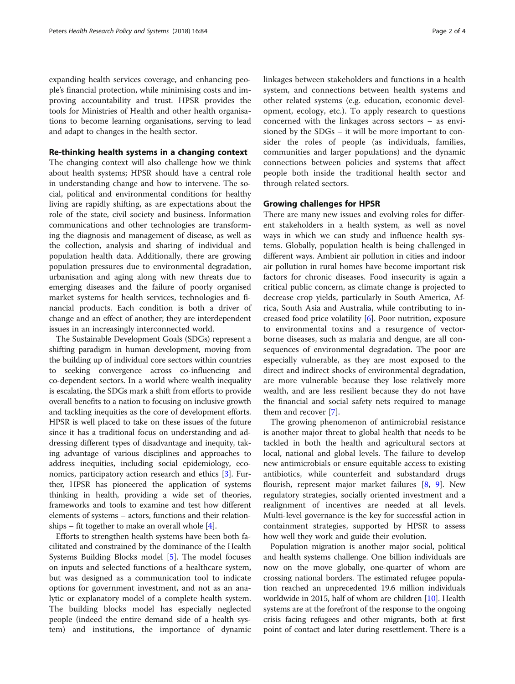expanding health services coverage, and enhancing people's financial protection, while minimising costs and improving accountability and trust. HPSR provides the tools for Ministries of Health and other health organisations to become learning organisations, serving to lead and adapt to changes in the health sector.

The changing context will also challenge how we think about health systems; HPSR should have a central role in understanding change and how to intervene. The social, political and environmental conditions for healthy living are rapidly shifting, as are expectations about the role of the state, civil society and business. Information communications and other technologies are transforming the diagnosis and management of disease, as well as the collection, analysis and sharing of individual and population health data. Additionally, there are growing population pressures due to environmental degradation, urbanisation and aging along with new threats due to emerging diseases and the failure of poorly organised market systems for health services, technologies and financial products. Each condition is both a driver of change and an effect of another; they are interdependent issues in an increasingly interconnected world.

The Sustainable Development Goals (SDGs) represent a shifting paradigm in human development, moving from the building up of individual core sectors within countries to seeking convergence across co-influencing and co-dependent sectors. In a world where wealth inequality is escalating, the SDGs mark a shift from efforts to provide overall benefits to a nation to focusing on inclusive growth and tackling inequities as the core of development efforts. HPSR is well placed to take on these issues of the future since it has a traditional focus on understanding and addressing different types of disadvantage and inequity, taking advantage of various disciplines and approaches to address inequities, including social epidemiology, economics, participatory action research and ethics [[3](#page-2-0)]. Further, HPSR has pioneered the application of systems thinking in health, providing a wide set of theories, frameworks and tools to examine and test how different elements of systems – actors, functions and their relationships – fit together to make an overall whole  $[4]$  $[4]$ .

Efforts to strengthen health systems have been both facilitated and constrained by the dominance of the Health Systems Building Blocks model [\[5](#page-2-0)]. The model focuses on inputs and selected functions of a healthcare system, but was designed as a communication tool to indicate options for government investment, and not as an analytic or explanatory model of a complete health system. The building blocks model has especially neglected people (indeed the entire demand side of a health system) and institutions, the importance of dynamic

linkages between stakeholders and functions in a health system, and connections between health systems and other related systems (e.g. education, economic development, ecology, etc.). To apply research to questions concerned with the linkages across sectors – as envisioned by the SDGs – it will be more important to consider the roles of people (as individuals, families, communities and larger populations) and the dynamic connections between policies and systems that affect people both inside the traditional health sector and through related sectors.

There are many new issues and evolving roles for different stakeholders in a health system, as well as novel ways in which we can study and influence health systems. Globally, population health is being challenged in different ways. Ambient air pollution in cities and indoor air pollution in rural homes have become important risk factors for chronic diseases. Food insecurity is again a critical public concern, as climate change is projected to decrease crop yields, particularly in South America, Africa, South Asia and Australia, while contributing to increased food price volatility [\[6](#page-2-0)]. Poor nutrition, exposure to environmental toxins and a resurgence of vectorborne diseases, such as malaria and dengue, are all consequences of environmental degradation. The poor are especially vulnerable, as they are most exposed to the direct and indirect shocks of environmental degradation, are more vulnerable because they lose relatively more wealth, and are less resilient because they do not have the financial and social safety nets required to manage them and recover [\[7](#page-2-0)].

The growing phenomenon of antimicrobial resistance is another major threat to global health that needs to be tackled in both the health and agricultural sectors at local, national and global levels. The failure to develop new antimicrobials or ensure equitable access to existing antibiotics, while counterfeit and substandard drugs flourish, represent major market failures [[8,](#page-3-0) [9\]](#page-3-0). New regulatory strategies, socially oriented investment and a realignment of incentives are needed at all levels. Multi-level governance is the key for successful action in containment strategies, supported by HPSR to assess how well they work and guide their evolution.

Population migration is another major social, political and health systems challenge. One billion individuals are now on the move globally, one-quarter of whom are crossing national borders. The estimated refugee population reached an unprecedented 19.6 million individuals worldwide in 2015, half of whom are children [\[10\]](#page-3-0). Health systems are at the forefront of the response to the ongoing crisis facing refugees and other migrants, both at first point of contact and later during resettlement. There is a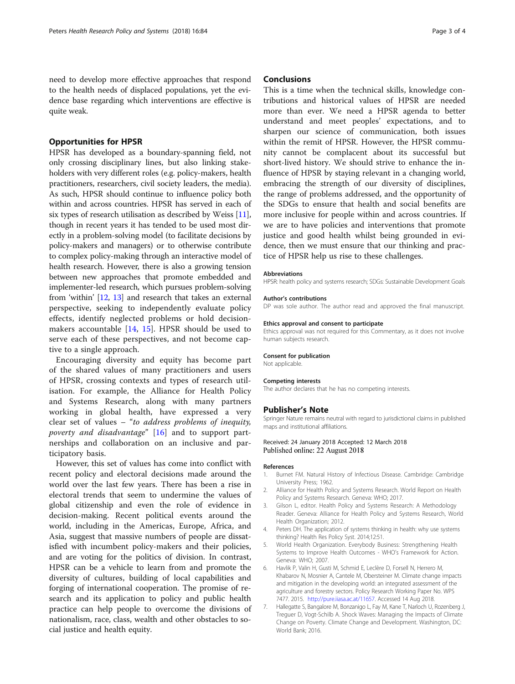<span id="page-2-0"></span>need to develop more effective approaches that respond to the health needs of displaced populations, yet the evidence base regarding which interventions are effective is quite weak.

HPSR has developed as a boundary-spanning field, not only crossing disciplinary lines, but also linking stakeholders with very different roles (e.g. policy-makers, health practitioners, researchers, civil society leaders, the media). As such, HPSR should continue to influence policy both within and across countries. HPSR has served in each of six types of research utilisation as described by Weiss [[11](#page-3-0)], though in recent years it has tended to be used most directly in a problem-solving model (to facilitate decisions by policy-makers and managers) or to otherwise contribute to complex policy-making through an interactive model of health research. However, there is also a growing tension between new approaches that promote embedded and implementer-led research, which pursues problem-solving from 'within' [\[12](#page-3-0), [13](#page-3-0)] and research that takes an external perspective, seeking to independently evaluate policy effects, identify neglected problems or hold decisionmakers accountable [[14,](#page-3-0) [15](#page-3-0)]. HPSR should be used to serve each of these perspectives, and not become captive to a single approach.

Encouraging diversity and equity has become part of the shared values of many practitioners and users of HPSR, crossing contexts and types of research utilisation. For example, the Alliance for Health Policy and Systems Research, along with many partners working in global health, have expressed a very clear set of values – "to address problems of inequity, poverty and disadvantage" [\[16](#page-3-0)] and to support partnerships and collaboration on an inclusive and participatory basis.

However, this set of values has come into conflict with recent policy and electoral decisions made around the world over the last few years. There has been a rise in electoral trends that seem to undermine the values of global citizenship and even the role of evidence in decision-making. Recent political events around the world, including in the Americas, Europe, Africa, and Asia, suggest that massive numbers of people are dissatisfied with incumbent policy-makers and their policies, and are voting for the politics of division. In contrast, HPSR can be a vehicle to learn from and promote the diversity of cultures, building of local capabilities and forging of international cooperation. The promise of research and its application to policy and public health practice can help people to overcome the divisions of nationalism, race, class, wealth and other obstacles to social justice and health equity.

### **Conclusions**

This is a time when the technical skills, knowledge contributions and historical values of HPSR are needed more than ever. We need a HPSR agenda to better understand and meet peoples' expectations, and to sharpen our science of communication, both issues within the remit of HPSR. However, the HPSR community cannot be complacent about its successful but short-lived history. We should strive to enhance the influence of HPSR by staying relevant in a changing world, embracing the strength of our diversity of disciplines, the range of problems addressed, and the opportunity of the SDGs to ensure that health and social benefits are more inclusive for people within and across countries. If we are to have policies and interventions that promote justice and good health whilst being grounded in evidence, then we must ensure that our thinking and practice of HPSR help us rise to these challenges.

#### Abbreviations

HPSR: health policy and systems research; SDGs: Sustainable Development Goals

#### Author's contributions

DP was sole author. The author read and approved the final manuscript.

#### Ethics approval and consent to participate

Ethics approval was not required for this Commentary, as it does not involve human subjects research.

#### Consent for publication

Not applicable.

### Competing interests

The author declares that he has no competing interests.

#### Publisher's Note

Springer Nature remains neutral with regard to jurisdictional claims in published maps and institutional affiliations.

### Received: 24 January 2018 Accepted: 12 March 2018 Published online: 22 August 2018

#### References

- 1. Burnet FM. Natural History of Infectious Disease. Cambridge: Cambridge University Press; 1962.
- 2. Alliance for Health Policy and Systems Research. World Report on Health Policy and Systems Research. Geneva: WHO; 2017.
- Gilson L, editor. Health Policy and Systems Research: A Methodology Reader. Geneva: Alliance for Health Policy and Systems Research, World Health Organization; 2012.
- 4. Peters DH. The application of systems thinking in health: why use systems thinking? Health Res Policy Syst. 2014;12:51.
- 5. World Health Organization. Everybody Business: Strengthening Health Systems to Improve Health Outcomes - WHO's Framework for Action. Geneva: WHO; 2007.
- 6. Havlik P, Valin H, Gusti M, Schmid E, Leclère D, Forsell N, Herrero M, Khabarov N, Mosnier A, Cantele M, Obersteiner M. Climate change impacts and mitigation in the developing world: an integrated assessment of the agriculture and forestry sectors. Policy Research Working Paper No. WPS 7477. 2015. [http://pure.iiasa.ac.at/11657.](http://pure.iiasa.ac.at/11657) Accessed 14 Aug 2018.
- 7. Hallegatte S, Bangalore M, Bonzanigo L, Fay M, Kane T, Narloch U, Rozenberg J, Treguer D, Vogt-Schilb A. Shock Waves: Managing the Impacts of Climate Change on Poverty. Climate Change and Development. Washington, DC: World Bank; 2016.